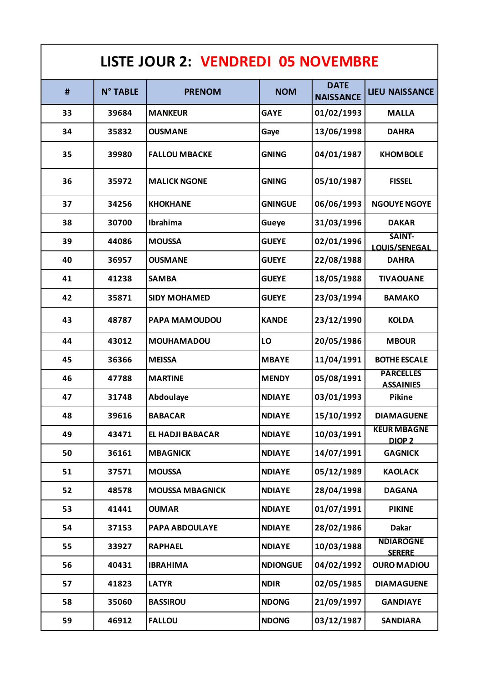| <b>LISTE JOUR 2: VENDREDI 05 NOVEMBRE</b> |                 |                        |                 |                                 |                                         |  |  |
|-------------------------------------------|-----------------|------------------------|-----------------|---------------------------------|-----------------------------------------|--|--|
| #                                         | <b>N° TABLE</b> | <b>PRENOM</b>          | <b>NOM</b>      | <b>DATE</b><br><b>NAISSANCE</b> | <b>LIEU NAISSANCE</b>                   |  |  |
| 33                                        | 39684           | <b>MANKEUR</b>         | <b>GAYE</b>     | 01/02/1993                      | <b>MALLA</b>                            |  |  |
| 34                                        | 35832           | <b>OUSMANE</b>         | Gaye            | 13/06/1998                      | <b>DAHRA</b>                            |  |  |
| 35                                        | 39980           | <b>FALLOU MBACKE</b>   | <b>GNING</b>    | 04/01/1987                      | <b>KHOMBOLE</b>                         |  |  |
| 36                                        | 35972           | <b>MALICK NGONE</b>    | <b>GNING</b>    | 05/10/1987                      | <b>FISSEL</b>                           |  |  |
| 37                                        | 34256           | <b>KHOKHANE</b>        | <b>GNINGUE</b>  | 06/06/1993                      | <b>NGOUYE NGOYE</b>                     |  |  |
| 38                                        | 30700           | Ibrahima               | Gueye           | 31/03/1996                      | <b>DAKAR</b>                            |  |  |
| 39                                        | 44086           | <b>MOUSSA</b>          | <b>GUEYE</b>    | 02/01/1996                      | SAINT-<br><b>LOUIS/SENEGAL</b>          |  |  |
| 40                                        | 36957           | <b>OUSMANE</b>         | <b>GUEYE</b>    | 22/08/1988                      | <b>DAHRA</b>                            |  |  |
| 41                                        | 41238           | <b>SAMBA</b>           | <b>GUEYE</b>    | 18/05/1988                      | <b>TIVAOUANE</b>                        |  |  |
| 42                                        | 35871           | <b>SIDY MOHAMED</b>    | <b>GUEYE</b>    | 23/03/1994                      | <b>BAMAKO</b>                           |  |  |
| 43                                        | 48787           | PAPA MAMOUDOU          | <b>KANDE</b>    | 23/12/1990                      | <b>KOLDA</b>                            |  |  |
| 44                                        | 43012           | <b>MOUHAMADOU</b>      | LO              | 20/05/1986                      | <b>MBOUR</b>                            |  |  |
| 45                                        | 36366           | <b>MEISSA</b>          | <b>MBAYE</b>    | 11/04/1991                      | <b>BOTHE ESCALE</b>                     |  |  |
| 46                                        | 47788           | <b>MARTINE</b>         | <b>MENDY</b>    | 05/08/1991                      | <b>PARCELLES</b><br><b>ASSAINIES</b>    |  |  |
| 47                                        | 31748           | Abdoulaye              | <b>NDIAYE</b>   | 03/01/1993                      | Pikine                                  |  |  |
| 48                                        | 39616           | <b>BABACAR</b>         | <b>NDIAYE</b>   | 15/10/1992                      | <b>DIAMAGUENE</b>                       |  |  |
| 49                                        | 43471           | EL HADJI BABACAR       | <b>NDIAYE</b>   | 10/03/1991                      | <b>KEUR MBAGNE</b><br>DIOP <sub>2</sub> |  |  |
| 50                                        | 36161           | <b>MBAGNICK</b>        | <b>NDIAYE</b>   | 14/07/1991                      | <b>GAGNICK</b>                          |  |  |
| 51                                        | 37571           | <b>MOUSSA</b>          | <b>NDIAYE</b>   | 05/12/1989                      | <b>KAOLACK</b>                          |  |  |
| 52                                        | 48578           | <b>MOUSSA MBAGNICK</b> | <b>NDIAYE</b>   | 28/04/1998                      | <b>DAGANA</b>                           |  |  |
| 53                                        | 41441           | <b>OUMAR</b>           | <b>NDIAYE</b>   | 01/07/1991                      | <b>PIKINE</b>                           |  |  |
| 54                                        | 37153           | <b>PAPA ABDOULAYE</b>  | <b>NDIAYE</b>   | 28/02/1986                      | <b>Dakar</b>                            |  |  |
| 55                                        | 33927           | <b>RAPHAEL</b>         | <b>NDIAYE</b>   | 10/03/1988                      | <b>NDIAROGNE</b><br><b>SERERE</b>       |  |  |
| 56                                        | 40431           | <b>IBRAHIMA</b>        | <b>NDIONGUE</b> | 04/02/1992                      | <b>OURO MADIOU</b>                      |  |  |
| 57                                        | 41823           | <b>LATYR</b>           | <b>NDIR</b>     | 02/05/1985                      | <b>DIAMAGUENE</b>                       |  |  |
| 58                                        | 35060           | <b>BASSIROU</b>        | <b>NDONG</b>    | 21/09/1997                      | <b>GANDIAYE</b>                         |  |  |
| 59                                        | 46912           | <b>FALLOU</b>          | <b>NDONG</b>    | 03/12/1987                      | <b>SANDIARA</b>                         |  |  |